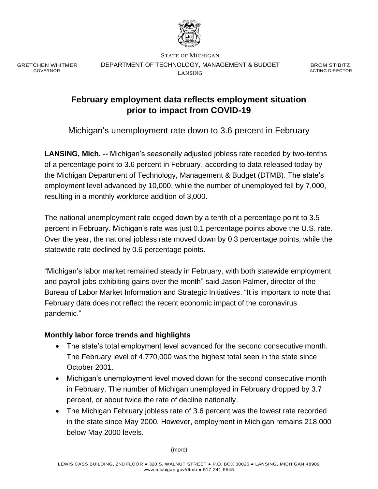

GRETCHEN WHITMER GOVERNOR

STATE OF MICHIGAN DEPARTMENT OF TECHNOLOGY, MANAGEMENT & BUDGET LANSING

BROM STIBITZ ACTING DIRECTOR

# **February employment data reflects employment situation prior to impact from COVID-19**

Michigan's unemployment rate down to 3.6 percent in February

**LANSING, Mich. --** Michigan's seasonally adjusted jobless rate receded by two-tenths of a percentage point to 3.6 percent in February, according to data released today by the Michigan Department of Technology, Management & Budget (DTMB). The state's employment level advanced by 10,000, while the number of unemployed fell by 7,000, resulting in a monthly workforce addition of 3,000.

The national unemployment rate edged down by a tenth of a percentage point to 3.5 percent in February. Michigan's rate was just 0.1 percentage points above the U.S. rate. Over the year, the national jobless rate moved down by 0.3 percentage points, while the statewide rate declined by 0.6 percentage points.

"Michigan's labor market remained steady in February, with both statewide employment and payroll jobs exhibiting gains over the month" said Jason Palmer, director of the Bureau of Labor Market Information and Strategic Initiatives. "It is important to note that February data does not reflect the recent economic impact of the coronavirus pandemic."

## **Monthly labor force trends and highlights**

- The state's total employment level advanced for the second consecutive month. The February level of 4,770,000 was the highest total seen in the state since October 2001.
- Michigan's unemployment level moved down for the second consecutive month in February. The number of Michigan unemployed in February dropped by 3.7 percent, or about twice the rate of decline nationally.
- The Michigan February jobless rate of 3.6 percent was the lowest rate recorded in the state since May 2000. However, employment in Michigan remains 218,000 below May 2000 levels.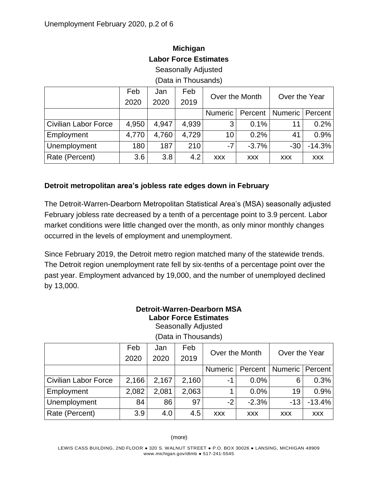| (Data in Thousands)         |       |       |       |                 |            |               |            |  |  |
|-----------------------------|-------|-------|-------|-----------------|------------|---------------|------------|--|--|
|                             | Feb   | Jan   | Feb   | Over the Month  |            | Over the Year |            |  |  |
|                             | 2020  | 2020  | 2019  |                 |            |               |            |  |  |
|                             |       |       |       | Numeric         | Percent    | Numeric       | Percent    |  |  |
| <b>Civilian Labor Force</b> | 4,950 | 4.947 | 4,939 | 3               | 0.1%       |               | 0.2%       |  |  |
| Employment                  | 4,770 | 4,760 | 4,729 | 10 <sup>°</sup> | 0.2%       | 41            | 0.9%       |  |  |
| Unemployment                | 180   | 187   | 210   | $-7$            | $-3.7%$    | $-30$         | $-14.3%$   |  |  |
| Rate (Percent)              | 3.6   | 3.8   | 4.2   | <b>XXX</b>      | <b>XXX</b> | <b>XXX</b>    | <b>XXX</b> |  |  |

## **Michigan Labor Force Estimates**

Seasonally Adjusted

(Data in Thousands)

### **Detroit metropolitan area's jobless rate edges down in February**

The Detroit-Warren-Dearborn Metropolitan Statistical Area's (MSA) seasonally adjusted February jobless rate decreased by a tenth of a percentage point to 3.9 percent. Labor market conditions were little changed over the month, as only minor monthly changes occurred in the levels of employment and unemployment.

Since February 2019, the Detroit metro region matched many of the statewide trends. The Detroit region unemployment rate fell by six-tenths of a percentage point over the past year. Employment advanced by 19,000, and the number of unemployed declined by 13,000.

# **Detroit-Warren-Dearborn MSA Labor Force Estimates**

Seasonally Adjusted

|                             | Feb   | Jan   | Feb   | Over the Month |            | Over the Year     |            |
|-----------------------------|-------|-------|-------|----------------|------------|-------------------|------------|
|                             | 2020  | 2020  | 2019  |                |            |                   |            |
|                             |       |       |       | Numeric        | Percent    | Numeric   Percent |            |
| <b>Civilian Labor Force</b> | 2,166 | 2,167 | 2,160 | -1             | $0.0\%$    | 6                 | 0.3%       |
| Employment                  | 2,082 | 2,081 | 2,063 |                | $0.0\%$    | 19                | 0.9%       |
| Unemployment                | 84    | 86    | 97    | $-2$           | $-2.3%$    | $-13$             | $-13.4%$   |
| Rate (Percent)              | 3.9   | 4.0   | 4.5   | <b>XXX</b>     | <b>XXX</b> | <b>XXX</b>        | <b>XXX</b> |

(Data in Thousands)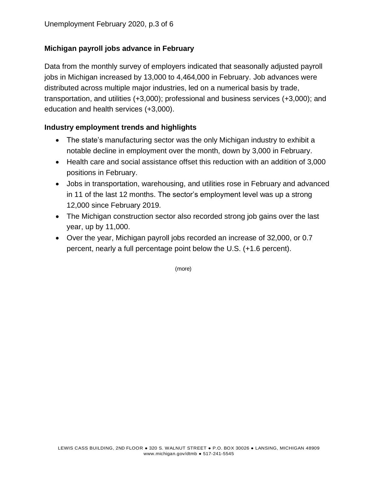## **Michigan payroll jobs advance in February**

Data from the monthly survey of employers indicated that seasonally adjusted payroll jobs in Michigan increased by 13,000 to 4,464,000 in February. Job advances were distributed across multiple major industries, led on a numerical basis by trade, transportation, and utilities (+3,000); professional and business services (+3,000); and education and health services (+3,000).

### **Industry employment trends and highlights**

- The state's manufacturing sector was the only Michigan industry to exhibit a notable decline in employment over the month, down by 3,000 in February.
- Health care and social assistance offset this reduction with an addition of 3,000 positions in February.
- Jobs in transportation, warehousing, and utilities rose in February and advanced in 11 of the last 12 months. The sector's employment level was up a strong 12,000 since February 2019.
- The Michigan construction sector also recorded strong job gains over the last year, up by 11,000.
- Over the year, Michigan payroll jobs recorded an increase of 32,000, or 0.7 percent, nearly a full percentage point below the U.S. (+1.6 percent).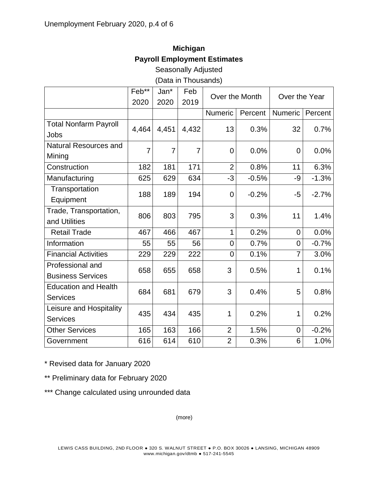# **Michigan Payroll Employment Estimates**

Seasonally Adjusted

(Data in Thousands)

|                              | Feb**          | Jan*           | Feb            | Over the Month |         | Over the Year  |         |
|------------------------------|----------------|----------------|----------------|----------------|---------|----------------|---------|
|                              | 2020           | 2020           | 2019           |                |         |                |         |
|                              |                |                |                | <b>Numeric</b> | Percent | <b>Numeric</b> | Percent |
| <b>Total Nonfarm Payroll</b> | 4,464          | 4,451          | 4,432          | 13             | 0.3%    | 32             | 0.7%    |
| Jobs                         |                |                |                |                |         |                |         |
| <b>Natural Resources and</b> | $\overline{7}$ | $\overline{7}$ | $\overline{7}$ | $\overline{0}$ | 0.0%    |                |         |
| Mining                       |                |                |                |                |         | $\mathbf 0$    | 0.0%    |
| Construction                 | 182            | 181            | 171            | $\overline{2}$ | 0.8%    | 11             | 6.3%    |
| Manufacturing                | 625            | 629            | 634            | $-3$           | $-0.5%$ | -9             | $-1.3%$ |
| Transportation               | 188            |                |                |                |         |                | $-2.7%$ |
| Equipment                    |                | 189            | 194            | $\overline{0}$ | $-0.2%$ | -5             |         |
| Trade, Transportation,       | 806            | 803            | 795            | 3              | 0.3%    | 11             | 1.4%    |
| and Utilities                |                |                |                |                |         |                |         |
| <b>Retail Trade</b>          | 467            | 466            | 467            | $\mathbf{1}$   | 0.2%    | $\overline{0}$ | 0.0%    |
| Information                  | 55             | 55             | 56             | 0              | 0.7%    | $\overline{0}$ | $-0.7%$ |
| <b>Financial Activities</b>  | 229            | 229            | 222            | 0              | 0.1%    | 7              | 3.0%    |
| Professional and             |                |                |                | 3              |         |                |         |
| <b>Business Services</b>     | 658            | 655            | 658            |                | 0.5%    | 1              | 0.1%    |
| <b>Education and Health</b>  | 684            |                | 679            | 3              | 0.4%    | 5              | 0.8%    |
| <b>Services</b>              |                | 681            |                |                |         |                |         |
| Leisure and Hospitality      | 435            | 434            | 435            | 1              | 0.2%    | 1              | 0.2%    |
| <b>Services</b>              |                |                |                |                |         |                |         |
| <b>Other Services</b>        | 165            | 163            | 166            | $\overline{2}$ | 1.5%    | $\overline{0}$ | $-0.2%$ |
| Government                   | 616            | 614            | 610            | $\overline{2}$ | 0.3%    | 6              | 1.0%    |

\* Revised data for January 2020

\*\* Preliminary data for February 2020

\*\*\* Change calculated using unrounded data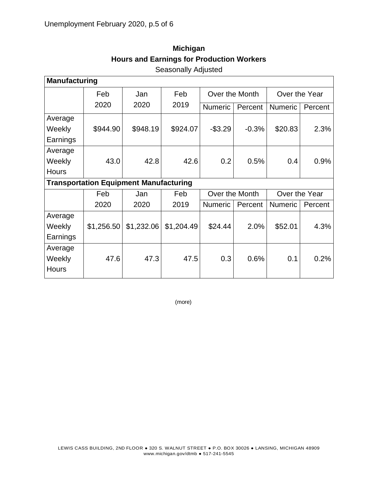| <b>Manufacturing</b> |                                               |            |            |                                 |         |                |         |  |  |  |  |
|----------------------|-----------------------------------------------|------------|------------|---------------------------------|---------|----------------|---------|--|--|--|--|
|                      | Feb                                           | Jan        | Feb        | Over the Month<br>Over the Year |         |                |         |  |  |  |  |
|                      | 2020                                          | 2020       | 2019       | <b>Numeric</b>                  | Percent | <b>Numeric</b> | Percent |  |  |  |  |
| Average              |                                               |            |            |                                 |         |                |         |  |  |  |  |
| Weekly               | \$944.90                                      | \$948.19   | \$924.07   | $-$3.29$                        | $-0.3%$ | \$20.83        | 2.3%    |  |  |  |  |
| Earnings             |                                               |            |            |                                 |         |                |         |  |  |  |  |
| Average              |                                               |            |            |                                 |         |                |         |  |  |  |  |
| Weekly               | 43.0                                          | 42.8       | 42.6       | 0.2                             | 0.5%    | 0.4            | 0.9%    |  |  |  |  |
| <b>Hours</b>         |                                               |            |            |                                 |         |                |         |  |  |  |  |
|                      | <b>Transportation Equipment Manufacturing</b> |            |            |                                 |         |                |         |  |  |  |  |
|                      | Feb<br>Jan                                    |            | Feb        | Over the Month<br>Over the Year |         |                |         |  |  |  |  |
|                      | 2020                                          | 2020       | 2019       | <b>Numeric</b>                  | Percent | <b>Numeric</b> | Percent |  |  |  |  |
| Average              |                                               |            |            |                                 |         |                |         |  |  |  |  |
| Weekly               | \$1,256.50                                    | \$1,232.06 | \$1,204.49 | \$24.44                         | 2.0%    | \$52.01        | 4.3%    |  |  |  |  |
| Earnings             |                                               |            |            |                                 |         |                |         |  |  |  |  |
|                      |                                               |            |            |                                 |         |                |         |  |  |  |  |
| Average              |                                               |            |            |                                 |         |                |         |  |  |  |  |
| Weekly               | 47.6                                          | 47.3       | 47.5       | 0.3                             | 0.6%    | 0.1            | 0.2%    |  |  |  |  |

## **Michigan Hours and Earnings for Production Workers** Seasonally Adjusted